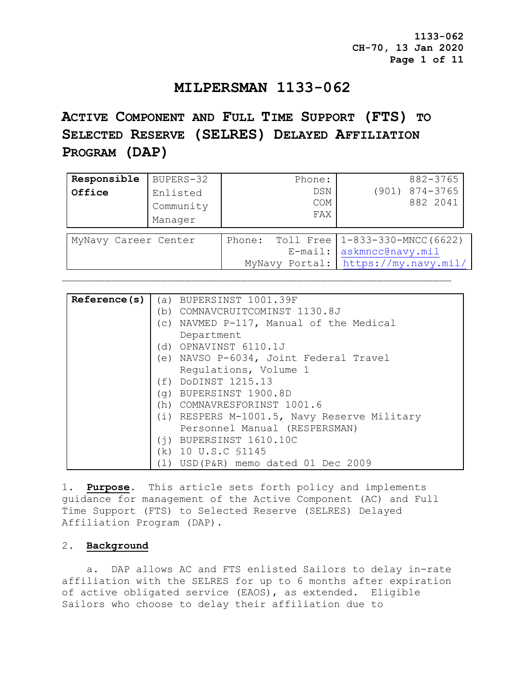## **MILPERSMAN 1133-062**

# **ACTIVE COMPONENT AND FULL TIME SUPPORT (FTS) TO SELECTED RESERVE (SELRES) DELAYED AFFILIATION PROGRAM (DAP)**

| Responsible<br>Office | BUPERS-32<br>Enlisted<br>Community<br>Manager |        | Phone:<br>DSN<br><b>COM</b><br>FAX        | 882-3765<br>$(901)$ $874-3765$<br>882 2041                               |
|-----------------------|-----------------------------------------------|--------|-------------------------------------------|--------------------------------------------------------------------------|
| MyNavy Career Center  |                                               | Phone: | Toll Free<br>$E$ -mail:<br>MyNavy Portal: | $1 - 833 - 330 - MNCC(6622)$<br>askmncc@navy.mil<br>https://my.navy.mil/ |

| Reference(s)           |                                                                 | (a) BUPERSINST 1001.39F                 |  |  |
|------------------------|-----------------------------------------------------------------|-----------------------------------------|--|--|
|                        |                                                                 | (b) COMNAVCRUITCOMINST 1130.8J          |  |  |
|                        |                                                                 | (c) NAVMED P-117, Manual of the Medical |  |  |
|                        |                                                                 | Department                              |  |  |
|                        | (d) OPNAVINST 6110.1J<br>(e) NAVSO P-6034, Joint Federal Travel |                                         |  |  |
|                        |                                                                 |                                         |  |  |
|                        |                                                                 | Requlations, Volume 1                   |  |  |
|                        |                                                                 | (f) DODINST 1215.13                     |  |  |
| (g) BUPERSINST 1900.8D |                                                                 |                                         |  |  |
|                        |                                                                 | (h) COMNAVRESFORINST 1001.6             |  |  |
|                        | (i) RESPERS M-1001.5, Navy Reserve Military                     |                                         |  |  |
|                        |                                                                 | Personnel Manual (RESPERSMAN)           |  |  |
|                        |                                                                 | $(i)$ BUPERSINST $1610.10C$             |  |  |
|                        | (k) 10 U.S.C \$1145                                             |                                         |  |  |
|                        | ( 1 )                                                           | USD(P&R) memo dated 01 Dec 2009         |  |  |

1. **Purpose**. This article sets forth policy and implements guidance for management of the Active Component (AC) and Full Time Support (FTS) to Selected Reserve (SELRES) Delayed Affiliation Program (DAP).

### 2. **Background**

 a. DAP allows AC and FTS enlisted Sailors to delay in-rate affiliation with the SELRES for up to 6 months after expiration of active obligated service (EAOS), as extended. Eligible Sailors who choose to delay their affiliation due to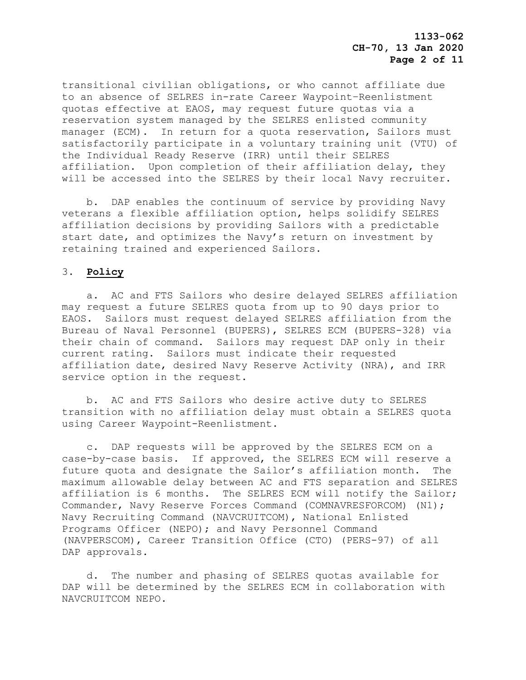transitional civilian obligations, or who cannot affiliate due to an absence of SELRES in-rate Career Waypoint–Reenlistment quotas effective at EAOS, may request future quotas via a reservation system managed by the SELRES enlisted community manager (ECM). In return for a quota reservation, Sailors must satisfactorily participate in a voluntary training unit (VTU) of the Individual Ready Reserve (IRR) until their SELRES affiliation. Upon completion of their affiliation delay, they will be accessed into the SELRES by their local Navy recruiter.

 b. DAP enables the continuum of service by providing Navy veterans a flexible affiliation option, helps solidify SELRES affiliation decisions by providing Sailors with a predictable start date, and optimizes the Navy's return on investment by retaining trained and experienced Sailors.

## 3. **Policy**

 a. AC and FTS Sailors who desire delayed SELRES affiliation may request a future SELRES quota from up to 90 days prior to EAOS. Sailors must request delayed SELRES affiliation from the Bureau of Naval Personnel (BUPERS), SELRES ECM (BUPERS-328) via their chain of command. Sailors may request DAP only in their current rating. Sailors must indicate their requested affiliation date, desired Navy Reserve Activity (NRA), and IRR service option in the request.

 b. AC and FTS Sailors who desire active duty to SELRES transition with no affiliation delay must obtain a SELRES quota using Career Waypoint-Reenlistment.

 c. DAP requests will be approved by the SELRES ECM on a case-by-case basis. If approved, the SELRES ECM will reserve a future quota and designate the Sailor's affiliation month. The maximum allowable delay between AC and FTS separation and SELRES affiliation is 6 months. The SELRES ECM will notify the Sailor; Commander, Navy Reserve Forces Command (COMNAVRESFORCOM) (N1); Navy Recruiting Command (NAVCRUITCOM), National Enlisted Programs Officer (NEPO); and Navy Personnel Command (NAVPERSCOM), Career Transition Office (CTO) (PERS-97) of all DAP approvals.

 d. The number and phasing of SELRES quotas available for DAP will be determined by the SELRES ECM in collaboration with NAVCRUITCOM NEPO.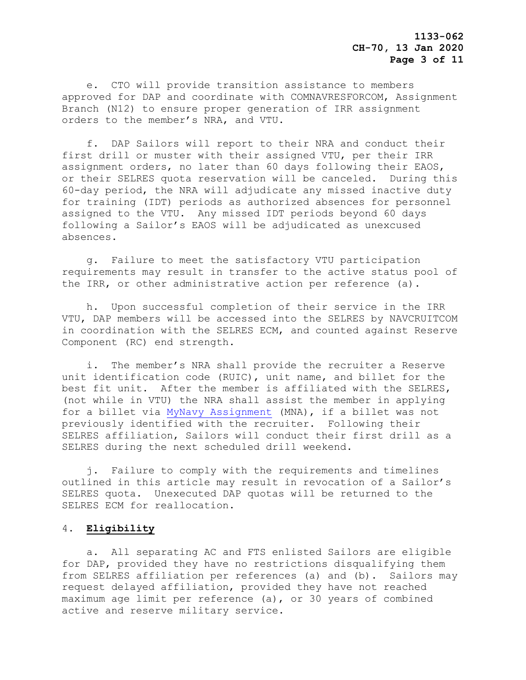e. CTO will provide transition assistance to members approved for DAP and coordinate with COMNAVRESFORCOM, Assignment Branch (N12) to ensure proper generation of IRR assignment orders to the member's NRA, and VTU.

 f. DAP Sailors will report to their NRA and conduct their first drill or muster with their assigned VTU, per their IRR assignment orders, no later than 60 days following their EAOS, or their SELRES quota reservation will be canceled. During this 60-day period, the NRA will adjudicate any missed inactive duty for training (IDT) periods as authorized absences for personnel assigned to the VTU. Any missed IDT periods beyond 60 days following a Sailor's EAOS will be adjudicated as unexcused absences.

 g. Failure to meet the satisfactory VTU participation requirements may result in transfer to the active status pool of the IRR, or other administrative action per reference (a).

 h. Upon successful completion of their service in the IRR VTU, DAP members will be accessed into the SELRES by NAVCRUITCOM in coordination with the SELRES ECM, and counted against Reserve Component (RC) end strength.

 i. The member's NRA shall provide the recruiter a Reserve unit identification code (RUIC), unit name, and billet for the best fit unit. After the member is affiliated with the SELRES, (not while in VTU) the NRA shall assist the member in applying for a billet via [MyNavy Assignment](https://my.navy.mil/) (MNA), if a billet was not previously identified with the recruiter. Following their SELRES affiliation, Sailors will conduct their first drill as a SELRES during the next scheduled drill weekend.

 j. Failure to comply with the requirements and timelines outlined in this article may result in revocation of a Sailor's SELRES quota. Unexecuted DAP quotas will be returned to the SELRES ECM for reallocation.

#### 4. **Eligibility**

 a. All separating AC and FTS enlisted Sailors are eligible for DAP, provided they have no restrictions disqualifying them from SELRES affiliation per references (a) and (b). Sailors may request delayed affiliation, provided they have not reached maximum age limit per reference (a), or 30 years of combined active and reserve military service.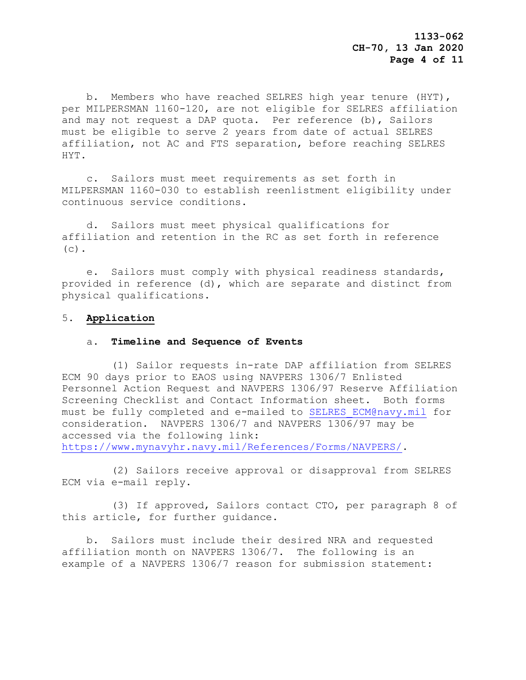b. Members who have reached SELRES high year tenure (HYT), per MILPERSMAN 1160-120, are not eligible for SELRES affiliation and may not request a DAP quota. Per reference (b), Sailors must be eligible to serve 2 years from date of actual SELRES affiliation, not AC and FTS separation, before reaching SELRES HYT.

 c. Sailors must meet requirements as set forth in MILPERSMAN 1160-030 to establish reenlistment eligibility under continuous service conditions.

 d. Sailors must meet physical qualifications for affiliation and retention in the RC as set forth in reference  $(c)$ .

 e. Sailors must comply with physical readiness standards, provided in reference (d), which are separate and distinct from physical qualifications.

#### 5. **Application**

#### a. **Timeline and Sequence of Events**

 (1) Sailor requests in-rate DAP affiliation from SELRES ECM 90 days prior to EAOS using NAVPERS 1306/7 Enlisted Personnel Action Request and NAVPERS 1306/97 Reserve Affiliation Screening Checklist and Contact Information sheet. Both forms must be fully completed and e-mailed to [SELRES\\_ECM@navy.mil](mailto:SELRES_ECM@navy.mil) for consideration. NAVPERS 1306/7 and NAVPERS 1306/97 may be accessed via the following link: [https://www.mynavyhr.navy.mil/References/Forms/NAVPERS/.](https://www.mynavyhr.navy.mil/References/Forms/NAVPERS/)

(2) Sailors receive approval or disapproval from SELRES

ECM via e-mail reply.

 (3) If approved, Sailors contact CTO, per paragraph 8 of this article, for further guidance.

 b. Sailors must include their desired NRA and requested affiliation month on NAVPERS 1306/7. The following is an example of a NAVPERS 1306/7 reason for submission statement: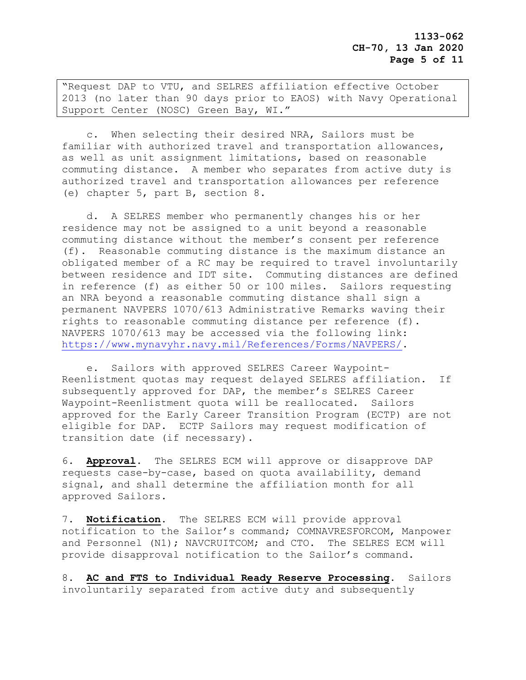"Request DAP to VTU, and SELRES affiliation effective October 2013 (no later than 90 days prior to EAOS) with Navy Operational Support Center (NOSC) Green Bay, WI."

 c. When selecting their desired NRA, Sailors must be familiar with authorized travel and transportation allowances, as well as unit assignment limitations, based on reasonable commuting distance. A member who separates from active duty is authorized travel and transportation allowances per reference (e) chapter 5, part B, section 8.

 d. A SELRES member who permanently changes his or her residence may not be assigned to a unit beyond a reasonable commuting distance without the member's consent per reference (f). Reasonable commuting distance is the maximum distance an obligated member of a RC may be required to travel involuntarily between residence and IDT site. Commuting distances are defined in reference (f) as either 50 or 100 miles. Sailors requesting an NRA beyond a reasonable commuting distance shall sign a permanent NAVPERS 1070/613 Administrative Remarks waving their rights to reasonable commuting distance per reference (f). NAVPERS 1070/613 may be accessed via the following link: [https://www.mynavyhr.navy.mil/References/Forms/NAVPERS/.](https://www.mynavyhr.navy.mil/References/Forms/NAVPERS/)

 e. Sailors with approved SELRES Career Waypoint-Reenlistment quotas may request delayed SELRES affiliation. If subsequently approved for DAP, the member's SELRES Career Waypoint-Reenlistment quota will be reallocated. Sailors approved for the Early Career Transition Program (ECTP) are not eligible for DAP. ECTP Sailors may request modification of transition date (if necessary).

6. **Approval.** The SELRES ECM will approve or disapprove DAP requests case-by-case, based on quota availability, demand signal, and shall determine the affiliation month for all approved Sailors.

7. **Notification.** The SELRES ECM will provide approval notification to the Sailor's command; COMNAVRESFORCOM, Manpower and Personnel (N1); NAVCRUITCOM; and CTO. The SELRES ECM will provide disapproval notification to the Sailor's command.

8. **AC and FTS to Individual Ready Reserve Processing.** Sailors involuntarily separated from active duty and subsequently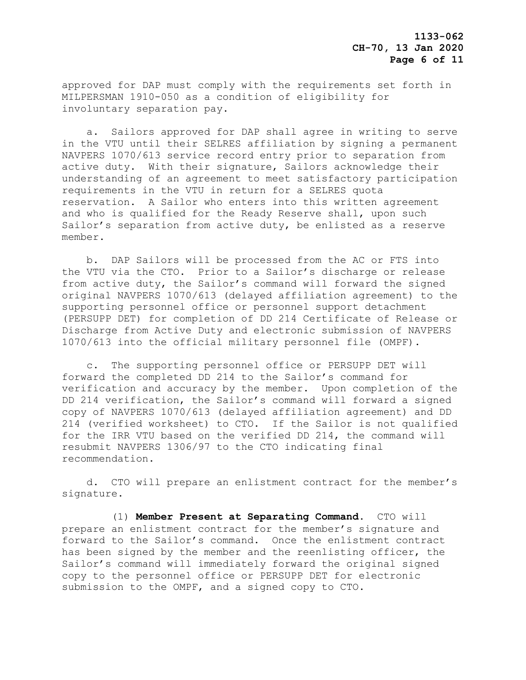approved for DAP must comply with the requirements set forth in MILPERSMAN 1910-050 as a condition of eligibility for involuntary separation pay.

 a. Sailors approved for DAP shall agree in writing to serve in the VTU until their SELRES affiliation by signing a permanent NAVPERS 1070/613 service record entry prior to separation from active duty. With their signature, Sailors acknowledge their understanding of an agreement to meet satisfactory participation requirements in the VTU in return for a SELRES quota reservation. A Sailor who enters into this written agreement and who is qualified for the Ready Reserve shall, upon such Sailor's separation from active duty, be enlisted as a reserve member.

 b. DAP Sailors will be processed from the AC or FTS into the VTU via the CTO. Prior to a Sailor's discharge or release from active duty, the Sailor's command will forward the signed original NAVPERS 1070/613 (delayed affiliation agreement) to the supporting personnel office or personnel support detachment (PERSUPP DET) for completion of DD 214 Certificate of Release or Discharge from Active Duty and electronic submission of NAVPERS 1070/613 into the official military personnel file (OMPF).

 c. The supporting personnel office or PERSUPP DET will forward the completed DD 214 to the Sailor's command for verification and accuracy by the member. Upon completion of the DD 214 verification, the Sailor's command will forward a signed copy of NAVPERS 1070/613 (delayed affiliation agreement) and DD 214 (verified worksheet) to CTO. If the Sailor is not qualified for the IRR VTU based on the verified DD 214, the command will resubmit NAVPERS 1306/97 to the CTO indicating final recommendation.

 d. CTO will prepare an enlistment contract for the member's signature.

 (1) **Member Present at Separating Command**. CTO will prepare an enlistment contract for the member's signature and forward to the Sailor's command. Once the enlistment contract has been signed by the member and the reenlisting officer, the Sailor's command will immediately forward the original signed copy to the personnel office or PERSUPP DET for electronic submission to the OMPF, and a signed copy to CTO.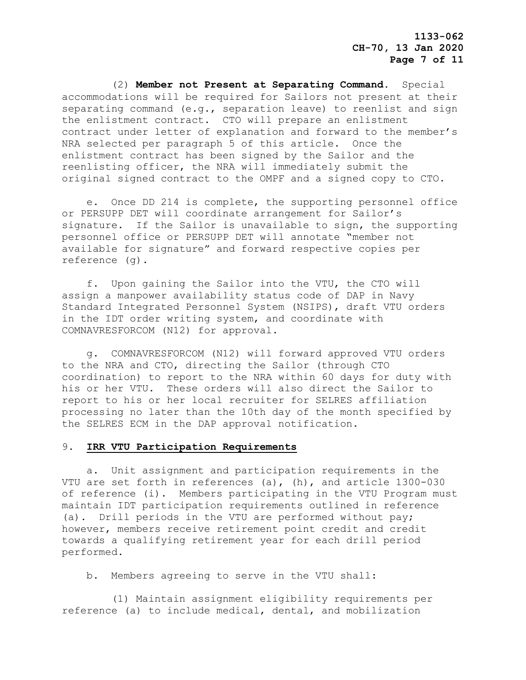(2) **Member not Present at Separating Command**. Special accommodations will be required for Sailors not present at their separating command (e.g., separation leave) to reenlist and sign the enlistment contract. CTO will prepare an enlistment contract under letter of explanation and forward to the member's NRA selected per paragraph 5 of this article. Once the enlistment contract has been signed by the Sailor and the reenlisting officer, the NRA will immediately submit the original signed contract to the OMPF and a signed copy to CTO.

 e. Once DD 214 is complete, the supporting personnel office or PERSUPP DET will coordinate arrangement for Sailor's signature. If the Sailor is unavailable to sign, the supporting personnel office or PERSUPP DET will annotate "member not available for signature" and forward respective copies per reference (g).

 f. Upon gaining the Sailor into the VTU, the CTO will assign a manpower availability status code of DAP in Navy Standard Integrated Personnel System (NSIPS), draft VTU orders in the IDT order writing system, and coordinate with COMNAVRESFORCOM (N12) for approval.

 g. COMNAVRESFORCOM (N12) will forward approved VTU orders to the NRA and CTO, directing the Sailor (through CTO coordination) to report to the NRA within 60 days for duty with his or her VTU. These orders will also direct the Sailor to report to his or her local recruiter for SELRES affiliation processing no later than the 10th day of the month specified by the SELRES ECM in the DAP approval notification.

#### 9. **IRR VTU Participation Requirements**

 a. Unit assignment and participation requirements in the VTU are set forth in references (a), (h), and article 1300-030 of reference (i). Members participating in the VTU Program must maintain IDT participation requirements outlined in reference (a). Drill periods in the VTU are performed without pay; however, members receive retirement point credit and credit towards a qualifying retirement year for each drill period performed.

b. Members agreeing to serve in the VTU shall:

 (1) Maintain assignment eligibility requirements per reference (a) to include medical, dental, and mobilization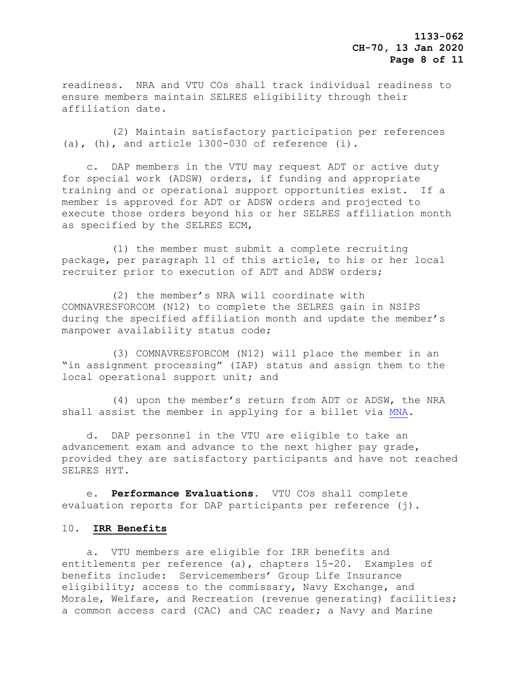readiness. NRA and VTU COs shall track individual readiness to ensure members maintain SELRES eligibility through their affiliation date.

 (2) Maintain satisfactory participation per references (a), (h), and article  $1300-030$  of reference (i).

 c. DAP members in the VTU may request ADT or active duty for special work (ADSW) orders, if funding and appropriate training and or operational support opportunities exist. If a member is approved for ADT or ADSW orders and projected to execute those orders beyond his or her SELRES affiliation month as specified by the SELRES ECM,

 (1) the member must submit a complete recruiting package, per paragraph 11 of this article, to his or her local recruiter prior to execution of ADT and ADSW orders;

 (2) the member's NRA will coordinate with COMNAVRESFORCOM (N12) to complete the SELRES gain in NSIPS during the specified affiliation month and update the member's manpower availability status code;

 (3) COMNAVRESFORCOM (N12) will place the member in an "in assignment processing" (IAP) status and assign them to the local operational support unit; and

 (4) upon the member's return from ADT or ADSW, the NRA shall assist the member in applying for a billet via [MNA.](https://my.navy.mil/)

 d. DAP personnel in the VTU are eligible to take an advancement exam and advance to the next higher pay grade, provided they are satisfactory participants and have not reached SELRES HYT.

 e. **Performance Evaluations**. VTU COs shall complete evaluation reports for DAP participants per reference (j).

#### 10. **IRR Benefits**

 a. VTU members are eligible for IRR benefits and entitlements per reference (a), chapters 15-20. Examples of benefits include: Servicemembers' Group Life Insurance eligibility; access to the commissary, Navy Exchange, and Morale, Welfare, and Recreation (revenue generating) facilities; a common access card (CAC) and CAC reader; a Navy and Marine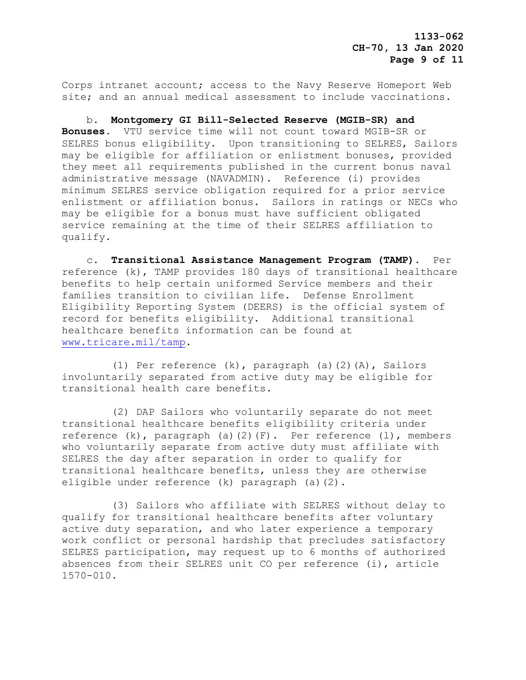Corps intranet account; access to the Navy Reserve Homeport Web site; and an annual medical assessment to include vaccinations.

 b. **Montgomery GI Bill-Selected Reserve (MGIB-SR) and Bonuses**. VTU service time will not count toward MGIB-SR or SELRES bonus eligibility. Upon transitioning to SELRES, Sailors may be eligible for affiliation or enlistment bonuses, provided they meet all requirements published in the current bonus naval administrative message (NAVADMIN). Reference (i) provides minimum SELRES service obligation required for a prior service enlistment or affiliation bonus. Sailors in ratings or NECs who may be eligible for a bonus must have sufficient obligated service remaining at the time of their SELRES affiliation to qualify.

 c. **Transitional Assistance Management Program (TAMP)**. Per reference (k), TAMP provides 180 days of transitional healthcare benefits to help certain uniformed Service members and their families transition to civilian life. Defense Enrollment Eligibility Reporting System (DEERS) is the official system of record for benefits eligibility. Additional transitional healthcare benefits information can be found at [www.tricare.mil/tamp.](http://www.tricare.mil/tamp)

 (1) Per reference (k), paragraph (a)(2)(A), Sailors involuntarily separated from active duty may be eligible for transitional health care benefits.

 (2) DAP Sailors who voluntarily separate do not meet transitional healthcare benefits eligibility criteria under reference (k), paragraph (a)(2)(F). Per reference (l), members who voluntarily separate from active duty must affiliate with SELRES the day after separation in order to qualify for transitional healthcare benefits, unless they are otherwise eligible under reference (k) paragraph (a)(2).

 (3) Sailors who affiliate with SELRES without delay to qualify for transitional healthcare benefits after voluntary active duty separation, and who later experience a temporary work conflict or personal hardship that precludes satisfactory SELRES participation, may request up to 6 months of authorized absences from their SELRES unit CO per reference (i), article 1570-010.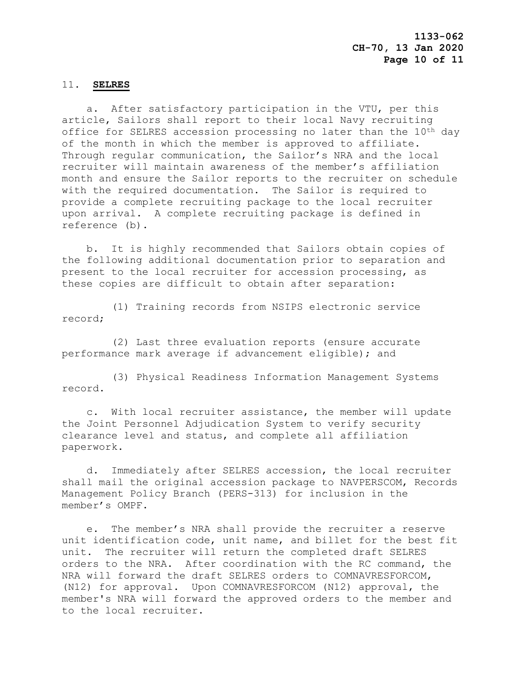#### 11. **SELRES**

 a. After satisfactory participation in the VTU, per this article, Sailors shall report to their local Navy recruiting office for SELRES accession processing no later than the 10<sup>th</sup> day of the month in which the member is approved to affiliate. Through regular communication, the Sailor's NRA and the local recruiter will maintain awareness of the member's affiliation month and ensure the Sailor reports to the recruiter on schedule with the required documentation. The Sailor is required to provide a complete recruiting package to the local recruiter upon arrival. A complete recruiting package is defined in reference (b).

 b. It is highly recommended that Sailors obtain copies of the following additional documentation prior to separation and present to the local recruiter for accession processing, as these copies are difficult to obtain after separation:

 (1) Training records from NSIPS electronic service record;

 (2) Last three evaluation reports (ensure accurate performance mark average if advancement eligible); and

 (3) Physical Readiness Information Management Systems record.

 c. With local recruiter assistance, the member will update the Joint Personnel Adjudication System to verify security clearance level and status, and complete all affiliation paperwork.

 d. Immediately after SELRES accession, the local recruiter shall mail the original accession package to NAVPERSCOM, Records Management Policy Branch (PERS-313) for inclusion in the member's OMPF.

 e. The member's NRA shall provide the recruiter a reserve unit identification code, unit name, and billet for the best fit unit. The recruiter will return the completed draft SELRES orders to the NRA. After coordination with the RC command, the NRA will forward the draft SELRES orders to COMNAVRESFORCOM, (N12) for approval. Upon COMNAVRESFORCOM (N12) approval, the member's NRA will forward the approved orders to the member and to the local recruiter.